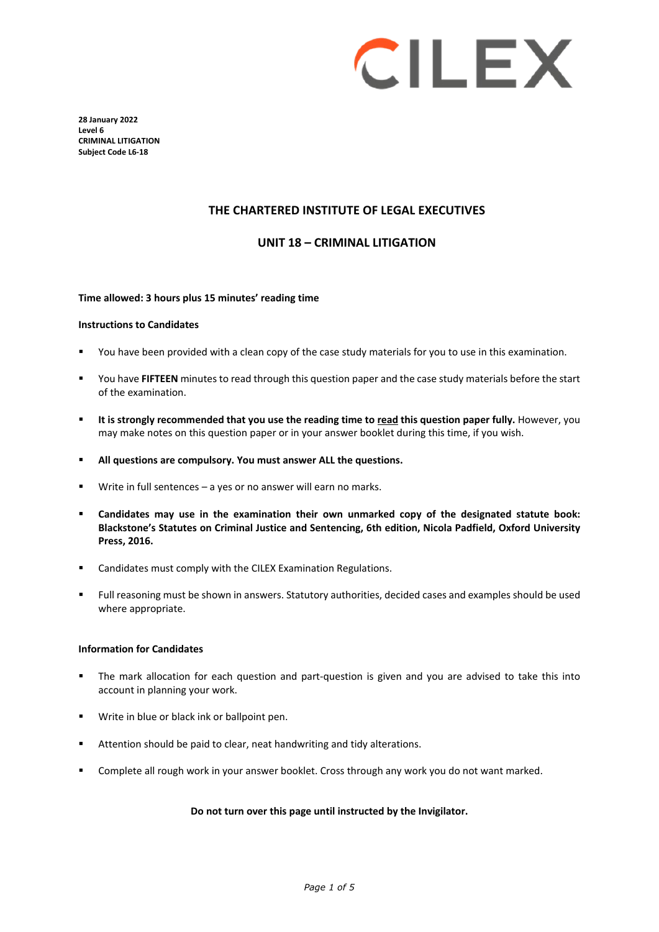

**28 January 2022 Level 6 CRIMINAL LITIGATION Subject Code L6-18**

### **THE CHARTERED INSTITUTE OF LEGAL EXECUTIVES**

### **UNIT 18 – CRIMINAL LITIGATION**

### **Time allowed: 3 hours plus 15 minutes' reading time**

#### **Instructions to Candidates**

- You have been provided with a clean copy of the case study materials for you to use in this examination.
- You have **FIFTEEN** minutes to read through this question paper and the case study materials before the start of the examination.
- **It is strongly recommended that you use the reading time to read this question paper fully.** However, you may make notes on this question paper or in your answer booklet during this time, if you wish.
- **All questions are compulsory. You must answer ALL the questions.**
- Write in full sentences a yes or no answer will earn no marks.
- **Candidates may use in the examination their own unmarked copy of the designated statute book: Blackstone's Statutes on Criminal Justice and Sentencing, 6th edition, Nicola Padfield, Oxford University Press, 2016.**
- **EXEC** Candidates must comply with the CILEX Examination Regulations.
- Full reasoning must be shown in answers. Statutory authorities, decided cases and examples should be used where appropriate.

#### **Information for Candidates**

- The mark allocation for each question and part-question is given and you are advised to take this into account in planning your work.
- **Write in blue or black ink or ballpoint pen.**
- Attention should be paid to clear, neat handwriting and tidy alterations.
- Complete all rough work in your answer booklet. Cross through any work you do not want marked.

### **Do not turn over this page until instructed by the Invigilator.**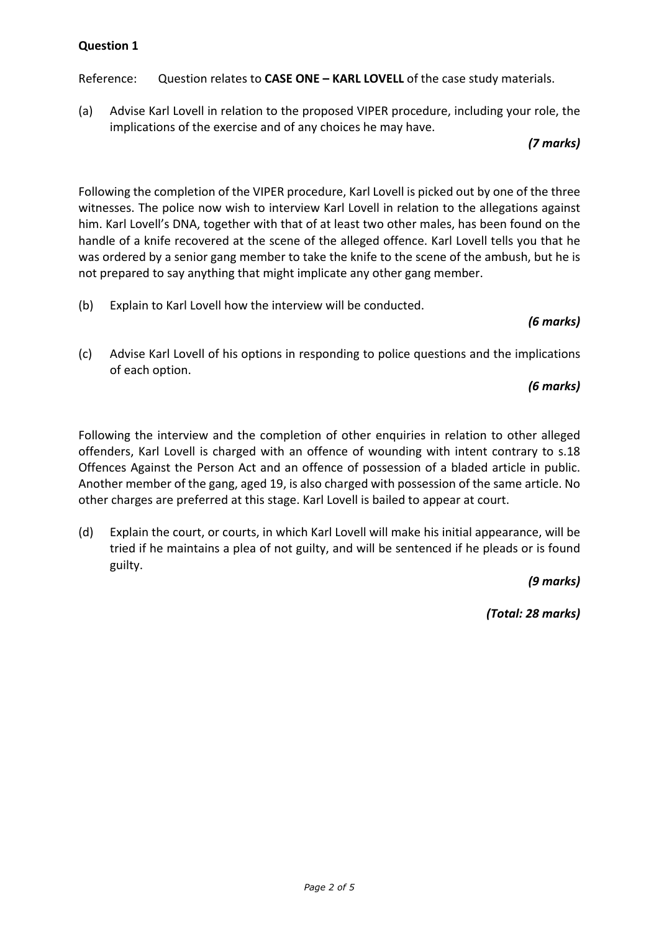Reference: Question relates to **CASE ONE – KARL LOVELL** of the case study materials.

(a) Advise Karl Lovell in relation to the proposed VIPER procedure, including your role, the implications of the exercise and of any choices he may have.

## *(7 marks)*

Following the completion of the VIPER procedure, Karl Lovell is picked out by one of the three witnesses. The police now wish to interview Karl Lovell in relation to the allegations against him. Karl Lovell's DNA, together with that of at least two other males, has been found on the handle of a knife recovered at the scene of the alleged offence. Karl Lovell tells you that he was ordered by a senior gang member to take the knife to the scene of the ambush, but he is not prepared to say anything that might implicate any other gang member.

(b) Explain to Karl Lovell how the interview will be conducted.

# *(6 marks)*

(c) Advise Karl Lovell of his options in responding to police questions and the implications of each option.

# *(6 marks)*

Following the interview and the completion of other enquiries in relation to other alleged offenders, Karl Lovell is charged with an offence of wounding with intent contrary to s.18 Offences Against the Person Act and an offence of possession of a bladed article in public. Another member of the gang, aged 19, is also charged with possession of the same article. No other charges are preferred at this stage. Karl Lovell is bailed to appear at court.

(d) Explain the court, or courts, in which Karl Lovell will make his initial appearance, will be tried if he maintains a plea of not guilty, and will be sentenced if he pleads or is found guilty.

*(9 marks)*

*(Total: 28 marks)*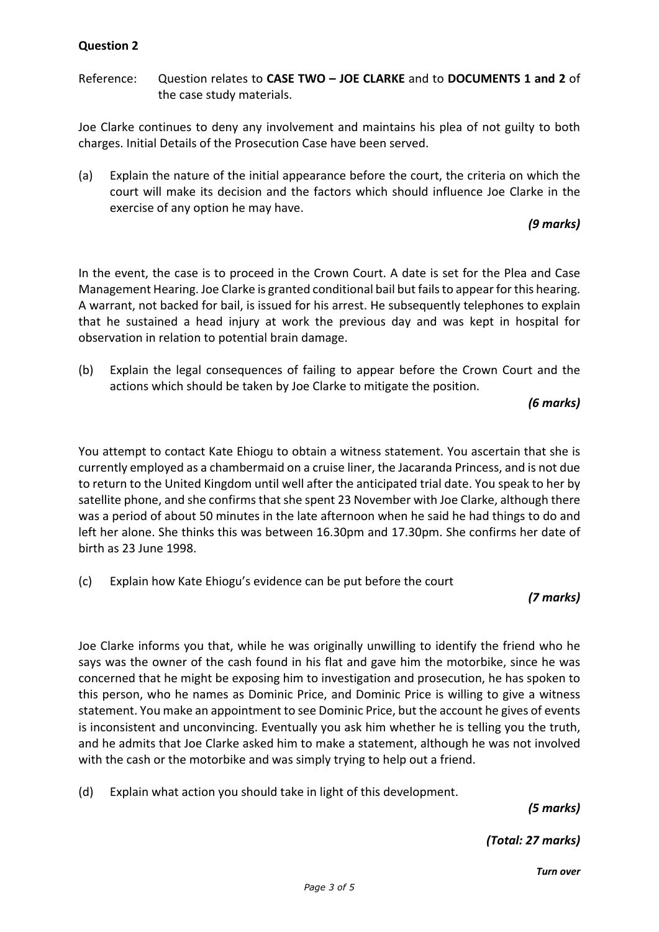Reference: Question relates to **CASE TWO – JOE CLARKE** and to **DOCUMENTS 1 and 2** of the case study materials.

Joe Clarke continues to deny any involvement and maintains his plea of not guilty to both charges. Initial Details of the Prosecution Case have been served.

(a) Explain the nature of the initial appearance before the court, the criteria on which the court will make its decision and the factors which should influence Joe Clarke in the exercise of any option he may have.

## *(9 marks)*

In the event, the case is to proceed in the Crown Court. A date is set for the Plea and Case Management Hearing. Joe Clarke is granted conditional bail but fails to appear for this hearing. A warrant, not backed for bail, is issued for his arrest. He subsequently telephones to explain that he sustained a head injury at work the previous day and was kept in hospital for observation in relation to potential brain damage.

(b) Explain the legal consequences of failing to appear before the Crown Court and the actions which should be taken by Joe Clarke to mitigate the position.

*(6 marks)*

You attempt to contact Kate Ehiogu to obtain a witness statement. You ascertain that she is currently employed as a chambermaid on a cruise liner, the Jacaranda Princess, and is not due to return to the United Kingdom until well after the anticipated trial date. You speak to her by satellite phone, and she confirms that she spent 23 November with Joe Clarke, although there was a period of about 50 minutes in the late afternoon when he said he had things to do and left her alone. She thinks this was between 16.30pm and 17.30pm. She confirms her date of birth as 23 June 1998.

(c) Explain how Kate Ehiogu's evidence can be put before the court

## *(7 marks)*

Joe Clarke informs you that, while he was originally unwilling to identify the friend who he says was the owner of the cash found in his flat and gave him the motorbike, since he was concerned that he might be exposing him to investigation and prosecution, he has spoken to this person, who he names as Dominic Price, and Dominic Price is willing to give a witness statement. You make an appointment to see Dominic Price, but the account he gives of events is inconsistent and unconvincing. Eventually you ask him whether he is telling you the truth, and he admits that Joe Clarke asked him to make a statement, although he was not involved with the cash or the motorbike and was simply trying to help out a friend.

(d) Explain what action you should take in light of this development.

*(5 marks)*

*(Total: 27 marks)*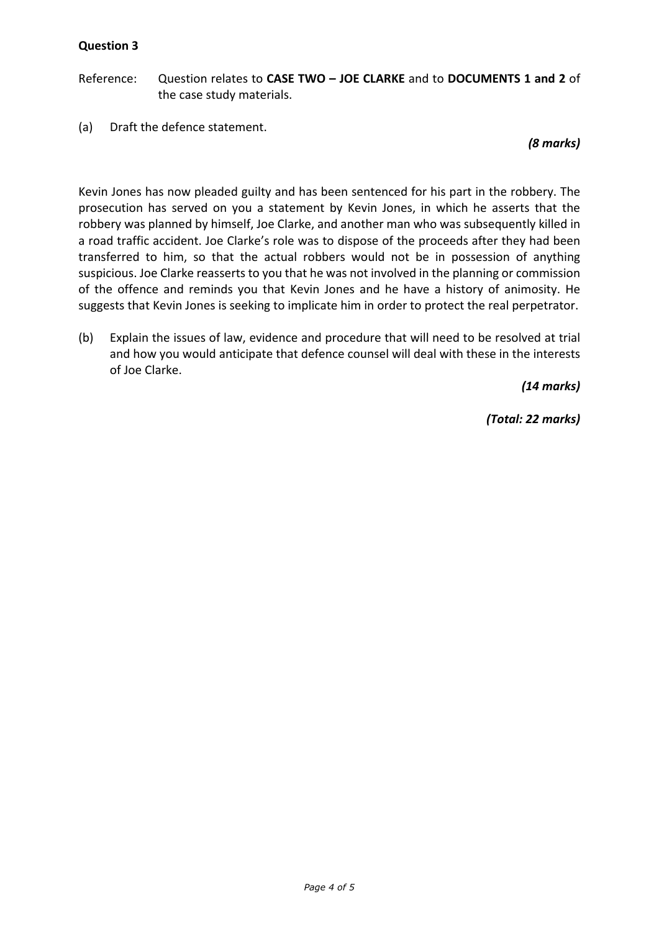Reference: Question relates to **CASE TWO – JOE CLARKE** and to **DOCUMENTS 1 and 2** of the case study materials.

(a) Draft the defence statement.

*(8 marks)*

Kevin Jones has now pleaded guilty and has been sentenced for his part in the robbery. The prosecution has served on you a statement by Kevin Jones, in which he asserts that the robbery was planned by himself, Joe Clarke, and another man who was subsequently killed in a road traffic accident. Joe Clarke's role was to dispose of the proceeds after they had been transferred to him, so that the actual robbers would not be in possession of anything suspicious. Joe Clarke reasserts to you that he was not involved in the planning or commission of the offence and reminds you that Kevin Jones and he have a history of animosity. He suggests that Kevin Jones is seeking to implicate him in order to protect the real perpetrator.

(b) Explain the issues of law, evidence and procedure that will need to be resolved at trial and how you would anticipate that defence counsel will deal with these in the interests of Joe Clarke.

*(14 marks)*

*(Total: 22 marks)*